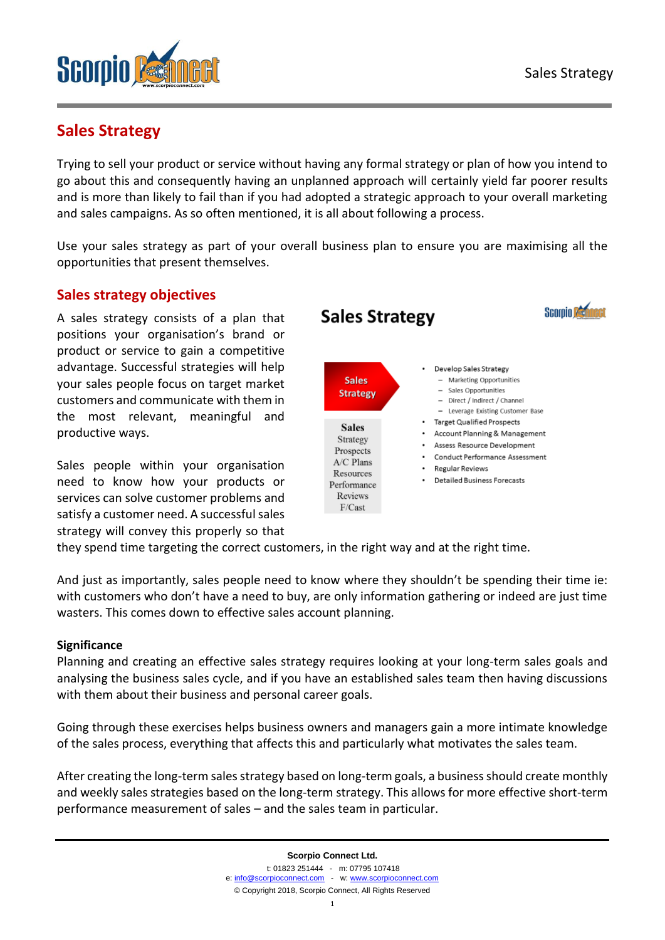

# **Sales Strategy**

Trying to sell your product or service without having any formal strategy or plan of how you intend to go about this and consequently having an unplanned approach will certainly yield far poorer results and is more than likely to fail than if you had adopted a strategic approach to your overall marketing and sales campaigns. As so often mentioned, it is all about following a process.

Use your sales strategy as part of your overall business plan to ensure you are maximising all the opportunities that present themselves.

### **Sales strategy objectives**

A sales strategy consists of a plan that positions your organisation's brand or product or service to gain a competitive advantage. Successful strategies will help your sales people focus on target market customers and communicate with them in the most relevant, meaningful and productive ways.

Sales people within your organisation need to know how your products or services can solve customer problems and satisfy a customer need. A successful sales strategy will convey this properly so that



they spend time targeting the correct customers, in the right way and at the right time.

And just as importantly, sales people need to know where they shouldn't be spending their time ie: with customers who don't have a need to buy, are only information gathering or indeed are just time wasters. This comes down to effective sales account planning.

### **Significance**

Planning and creating an effective sales strategy requires looking at your long-term sales goals and analysing the business sales cycle, and if you have an established sales team then having discussions with them about their business and personal career goals.

Going through these exercises helps business owners and managers gain a more intimate knowledge of the sales process, everything that affects this and particularly what motivates the sales team.

After creating the long-term sales strategy based on long-term goals, a business should create monthly and weekly sales strategies based on the long-term strategy. This allows for more effective short-term performance measurement of sales – and the sales team in particular.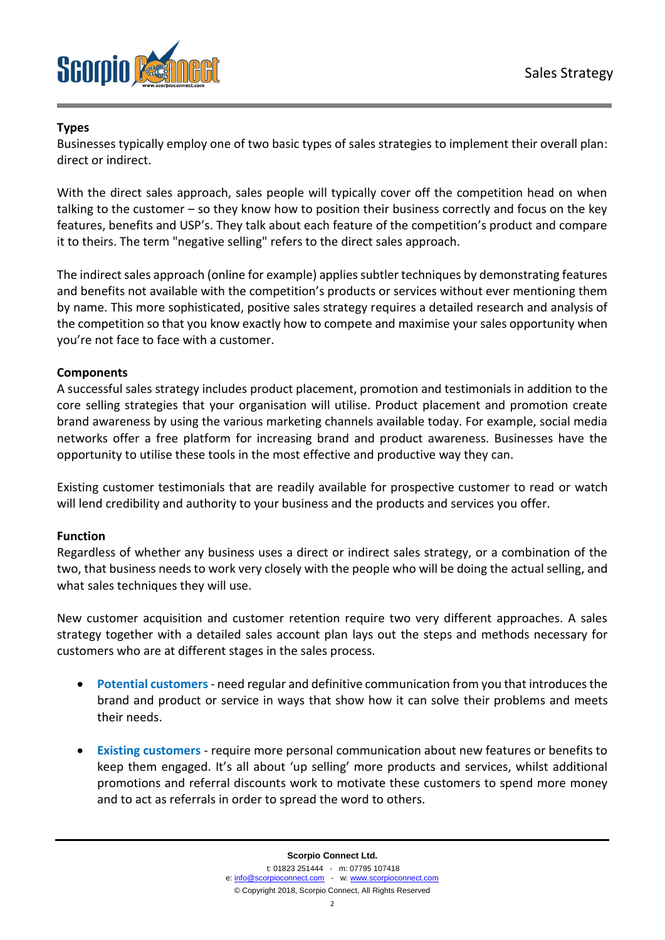

### **Types**

Businesses typically employ one of two basic types of sales strategies to implement their overall plan: direct or indirect.

With the direct sales approach, sales people will typically cover off the competition head on when talking to the customer – so they know how to position their business correctly and focus on the key features, benefits and USP's. They talk about each feature of the competition's product and compare it to theirs. The term "negative selling" refers to the direct sales approach.

The indirect sales approach (online for example) applies subtler techniques by demonstrating features and benefits not available with the competition's products or services without ever mentioning them by name. This more sophisticated, positive sales strategy requires a detailed research and analysis of the competition so that you know exactly how to compete and maximise your sales opportunity when you're not face to face with a customer.

### **Components**

A successful sales strategy includes product placement, promotion and testimonials in addition to the core selling strategies that your organisation will utilise. Product placement and promotion create brand awareness by using the various marketing channels available today. For example, social media networks offer a free platform for increasing brand and product awareness. Businesses have the opportunity to utilise these tools in the most effective and productive way they can.

Existing customer testimonials that are readily available for prospective customer to read or watch will lend credibility and authority to your business and the products and services you offer.

#### **Function**

Regardless of whether any business uses a direct or indirect sales strategy, or a combination of the two, that business needs to work very closely with the people who will be doing the actual selling, and what sales techniques they will use.

New customer acquisition and customer retention require two very different approaches. A sales strategy together with a detailed sales account plan lays out the steps and methods necessary for customers who are at different stages in the sales process.

- **Potential customers** need regular and definitive communication from you that introduces the brand and product or service in ways that show how it can solve their problems and meets their needs.
- **Existing customers** require more personal communication about new features or benefits to keep them engaged. It's all about 'up selling' more products and services, whilst additional promotions and referral discounts work to motivate these customers to spend more money and to act as referrals in order to spread the word to others.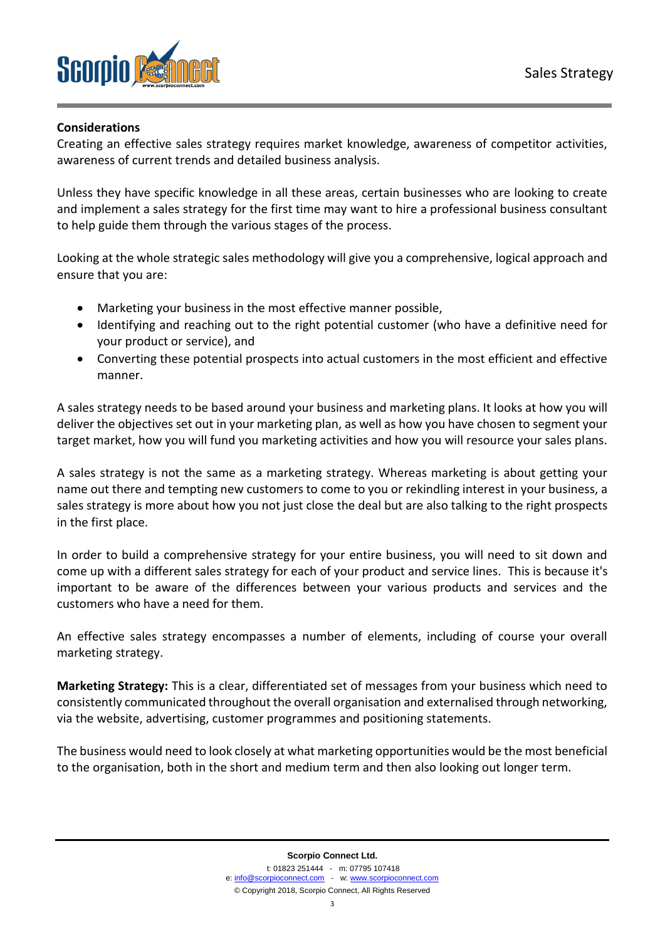

#### **Considerations**

Creating an effective sales strategy requires market knowledge, awareness of competitor activities, awareness of current trends and detailed business analysis.

Unless they have specific knowledge in all these areas, certain businesses who are looking to create and implement a sales strategy for the first time may want to hire a professional business consultant to help guide them through the various stages of the process.

Looking at the whole strategic sales methodology will give you a comprehensive, logical approach and ensure that you are:

- Marketing your business in the most effective manner possible,
- Identifying and reaching out to the right potential customer (who have a definitive need for your product or service), and
- Converting these potential prospects into actual customers in the most efficient and effective manner.

A sales strategy needs to be based around your business and marketing plans. It looks at how you will deliver the objectives set out in your marketing plan, as well as how you have chosen to segment your target market, how you will fund you marketing activities and how you will resource your sales plans.

A sales strategy is not the same as a marketing strategy. Whereas marketing is about getting your name out there and tempting new customers to come to you or rekindling interest in your business, a sales strategy is more about how you not just close the deal but are also talking to the right prospects in the first place.

In order to build a comprehensive strategy for your entire business, you will need to sit down and come up with a different sales strategy for each of your product and service lines. This is because it's important to be aware of the differences between your various products and services and the customers who have a need for them.

An effective sales strategy encompasses a number of elements, including of course your overall marketing strategy.

**Marketing Strategy:** This is a clear, differentiated set of messages from your business which need to consistently communicated throughout the overall organisation and externalised through networking, via the website, advertising, customer programmes and positioning statements.

The business would need to look closely at what marketing opportunities would be the most beneficial to the organisation, both in the short and medium term and then also looking out longer term.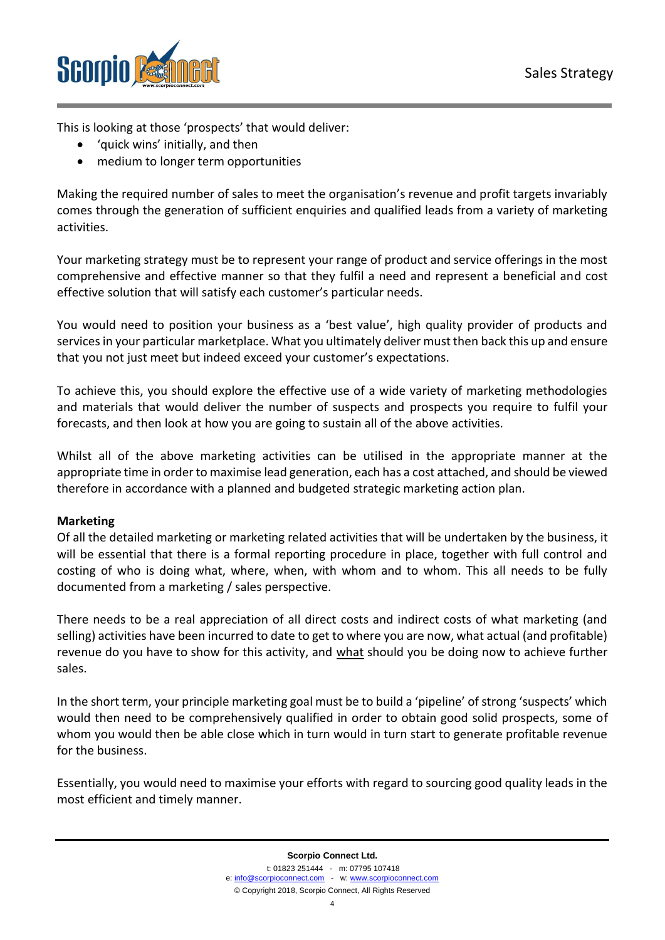

This is looking at those 'prospects' that would deliver:

- 'quick wins' initially, and then
- medium to longer term opportunities

Making the required number of sales to meet the organisation's revenue and profit targets invariably comes through the generation of sufficient enquiries and qualified leads from a variety of marketing activities.

Your marketing strategy must be to represent your range of product and service offerings in the most comprehensive and effective manner so that they fulfil a need and represent a beneficial and cost effective solution that will satisfy each customer's particular needs.

You would need to position your business as a 'best value', high quality provider of products and services in your particular marketplace. What you ultimately deliver must then back this up and ensure that you not just meet but indeed exceed your customer's expectations.

To achieve this, you should explore the effective use of a wide variety of marketing methodologies and materials that would deliver the number of suspects and prospects you require to fulfil your forecasts, and then look at how you are going to sustain all of the above activities.

Whilst all of the above marketing activities can be utilised in the appropriate manner at the appropriate time in order to maximise lead generation, each has a cost attached, and should be viewed therefore in accordance with a planned and budgeted strategic marketing action plan.

#### **Marketing**

Of all the detailed marketing or marketing related activities that will be undertaken by the business, it will be essential that there is a formal reporting procedure in place, together with full control and costing of who is doing what, where, when, with whom and to whom. This all needs to be fully documented from a marketing / sales perspective.

There needs to be a real appreciation of all direct costs and indirect costs of what marketing (and selling) activities have been incurred to date to get to where you are now, what actual (and profitable) revenue do you have to show for this activity, and what should you be doing now to achieve further sales.

In the short term, your principle marketing goal must be to build a 'pipeline' of strong 'suspects' which would then need to be comprehensively qualified in order to obtain good solid prospects, some of whom you would then be able close which in turn would in turn start to generate profitable revenue for the business.

Essentially, you would need to maximise your efforts with regard to sourcing good quality leads in the most efficient and timely manner.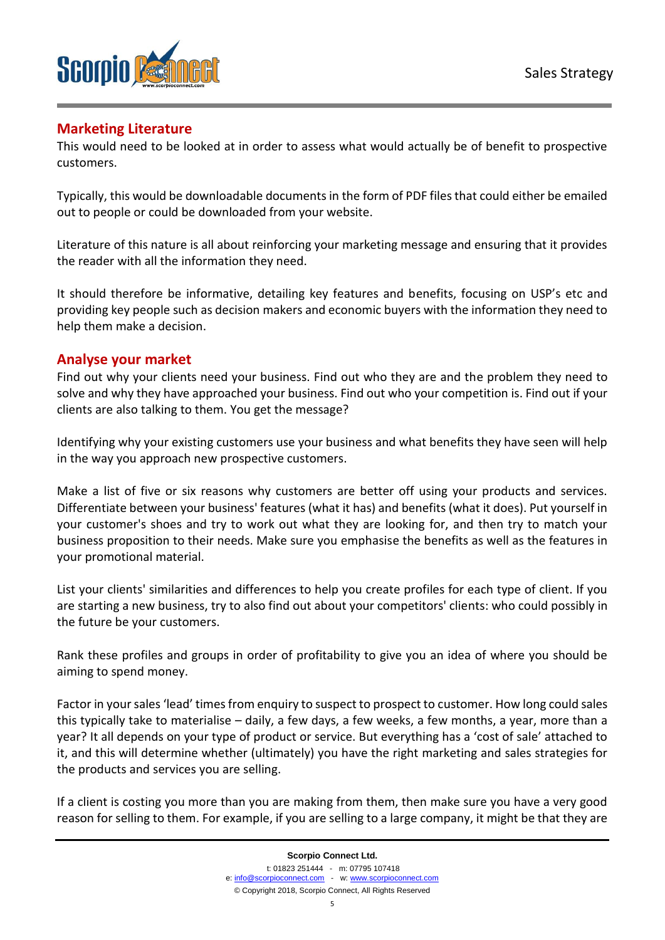

# **Marketing Literature**

This would need to be looked at in order to assess what would actually be of benefit to prospective customers.

Typically, this would be downloadable documents in the form of PDF files that could either be emailed out to people or could be downloaded from your website.

Literature of this nature is all about reinforcing your marketing message and ensuring that it provides the reader with all the information they need.

It should therefore be informative, detailing key features and benefits, focusing on USP's etc and providing key people such as decision makers and economic buyers with the information they need to help them make a decision.

### **Analyse your market**

Find out why your clients need your business. Find out who they are and the problem they need to solve and why they have approached your business. Find out who your competition is. Find out if your clients are also talking to them. You get the message?

Identifying why your existing customers use your business and what benefits they have seen will help in the way you approach new prospective customers.

Make a list of five or six reasons why customers are better off using your products and services. Differentiate between your business' features (what it has) and benefits (what it does). Put yourself in your customer's shoes and try to work out what they are looking for, and then try to match your business proposition to their needs. Make sure you emphasise the benefits as well as the features in your promotional material.

List your clients' similarities and differences to help you create profiles for each type of client. If you are starting a new business, try to also find out about your competitors' clients: who could possibly in the future be your customers.

Rank these profiles and groups in order of profitability to give you an idea of where you should be aiming to spend money.

Factor in your sales 'lead' times from enquiry to suspect to prospect to customer. How long could sales this typically take to materialise – daily, a few days, a few weeks, a few months, a year, more than a year? It all depends on your type of product or service. But everything has a 'cost of sale' attached to it, and this will determine whether (ultimately) you have the right marketing and sales strategies for the products and services you are selling.

If a client is costing you more than you are making from them, then make sure you have a very good reason for selling to them. For example, if you are selling to a large company, it might be that they are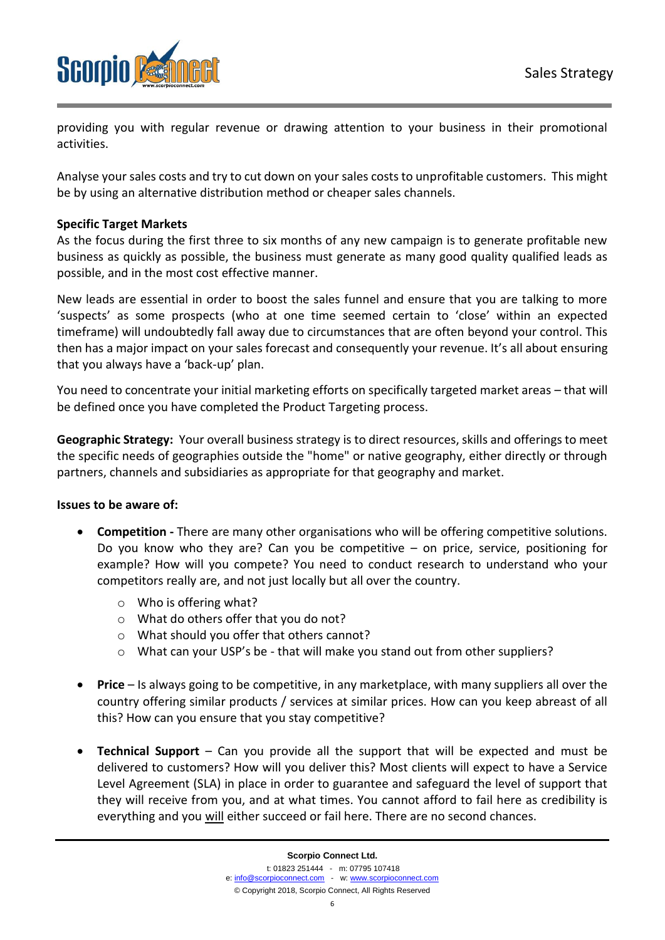

providing you with regular revenue or drawing attention to your business in their promotional activities.

Analyse your sales costs and try to cut down on your sales costs to unprofitable customers. This might be by using an alternative distribution method or cheaper sales channels.

#### **Specific Target Markets**

As the focus during the first three to six months of any new campaign is to generate profitable new business as quickly as possible, the business must generate as many good quality qualified leads as possible, and in the most cost effective manner.

New leads are essential in order to boost the sales funnel and ensure that you are talking to more 'suspects' as some prospects (who at one time seemed certain to 'close' within an expected timeframe) will undoubtedly fall away due to circumstances that are often beyond your control. This then has a major impact on your sales forecast and consequently your revenue. It's all about ensuring that you always have a 'back-up' plan.

You need to concentrate your initial marketing efforts on specifically targeted market areas – that will be defined once you have completed the Product Targeting process.

**Geographic Strategy:** Your overall business strategy is to direct resources, skills and offerings to meet the specific needs of geographies outside the "home" or native geography, either directly or through partners, channels and subsidiaries as appropriate for that geography and market.

#### **Issues to be aware of:**

- **Competition -** There are many other organisations who will be offering competitive solutions. Do you know who they are? Can you be competitive  $-$  on price, service, positioning for example? How will you compete? You need to conduct research to understand who your competitors really are, and not just locally but all over the country.
	- o Who is offering what?
	- o What do others offer that you do not?
	- o What should you offer that others cannot?
	- $\circ$  What can your USP's be that will make you stand out from other suppliers?
- **Price** Is always going to be competitive, in any marketplace, with many suppliers all over the country offering similar products / services at similar prices. How can you keep abreast of all this? How can you ensure that you stay competitive?
- **Technical Support** Can you provide all the support that will be expected and must be delivered to customers? How will you deliver this? Most clients will expect to have a Service Level Agreement (SLA) in place in order to guarantee and safeguard the level of support that they will receive from you, and at what times. You cannot afford to fail here as credibility is everything and you will either succeed or fail here. There are no second chances.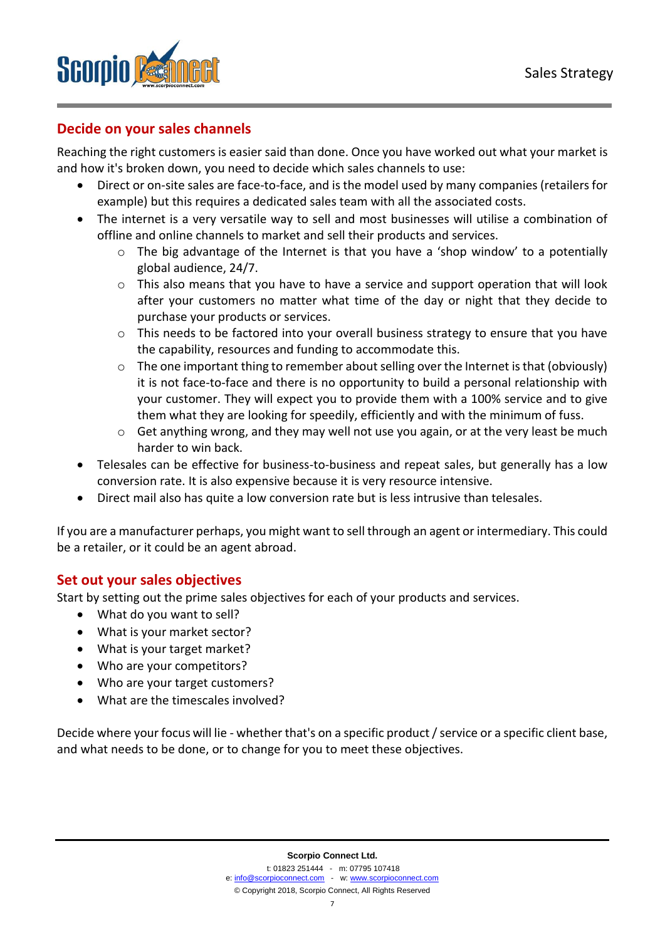

# **Decide on your sales channels**

Reaching the right customers is easier said than done. Once you have worked out what your market is and how it's broken down, you need to decide which sales channels to use:

- Direct or on-site sales are face-to-face, and is the model used by many companies (retailers for example) but this requires a dedicated sales team with all the associated costs.
- The internet is a very versatile way to sell and most businesses will utilise a combination of offline and online channels to market and sell their products and services.
	- $\circ$  The big advantage of the Internet is that you have a 'shop window' to a potentially global audience, 24/7.
	- $\circ$  This also means that you have to have a service and support operation that will look after your customers no matter what time of the day or night that they decide to purchase your products or services.
	- $\circ$  This needs to be factored into your overall business strategy to ensure that you have the capability, resources and funding to accommodate this.
	- $\circ$  The one important thing to remember about selling over the Internet is that (obviously) it is not face-to-face and there is no opportunity to build a personal relationship with your customer. They will expect you to provide them with a 100% service and to give them what they are looking for speedily, efficiently and with the minimum of fuss.
	- $\circ$  Get anything wrong, and they may well not use you again, or at the very least be much harder to win back.
- Telesales can be effective for business-to-business and repeat sales, but generally has a low conversion rate. It is also expensive because it is very resource intensive.
- Direct mail also has quite a low conversion rate but is less intrusive than telesales.

If you are a manufacturer perhaps, you might want to sell through an agent or intermediary. This could be a retailer, or it could be an agent abroad.

### **Set out your sales objectives**

Start by setting out the prime sales objectives for each of your products and services.

- What do you want to sell?
- What is your market sector?
- What is your target market?
- Who are your competitors?
- Who are your target customers?
- What are the timescales involved?

Decide where your focus will lie - whether that's on a specific product / service or a specific client base, and what needs to be done, or to change for you to meet these objectives.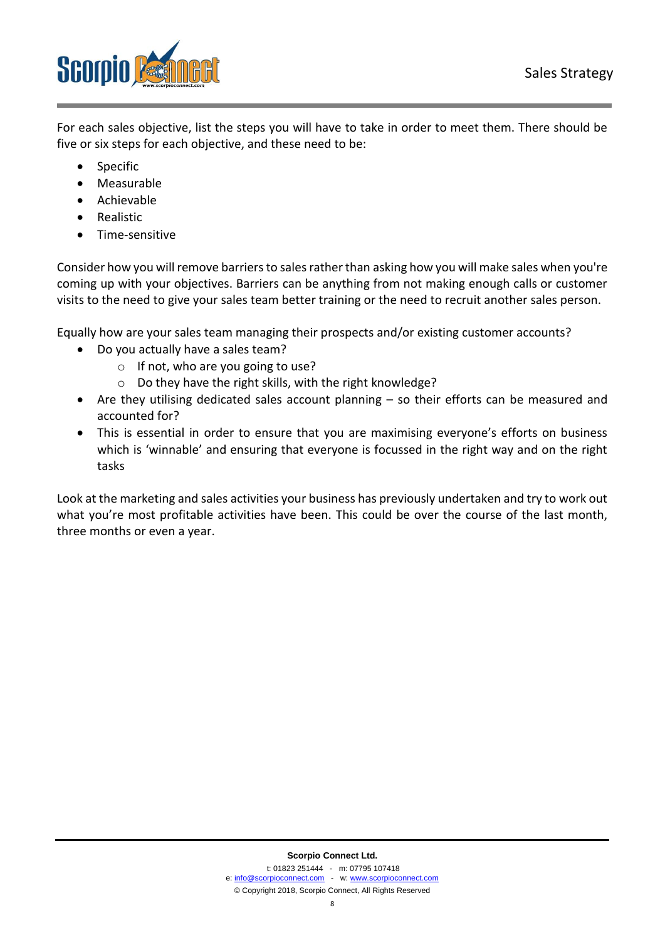

For each sales objective, list the steps you will have to take in order to meet them. There should be five or six steps for each objective, and these need to be:

- **Specific**
- Measurable
- Achievable
- Realistic
- Time-sensitive

Consider how you will remove barriers to sales rather than asking how you will make sales when you're coming up with your objectives. Barriers can be anything from not making enough calls or customer visits to the need to give your sales team better training or the need to recruit another sales person.

Equally how are your sales team managing their prospects and/or existing customer accounts?

- Do you actually have a sales team?
	- o If not, who are you going to use?
	- o Do they have the right skills, with the right knowledge?
- Are they utilising dedicated sales account planning so their efforts can be measured and accounted for?
- This is essential in order to ensure that you are maximising everyone's efforts on business which is 'winnable' and ensuring that everyone is focussed in the right way and on the right tasks

Look at the marketing and sales activities your business has previously undertaken and try to work out what you're most profitable activities have been. This could be over the course of the last month, three months or even a year.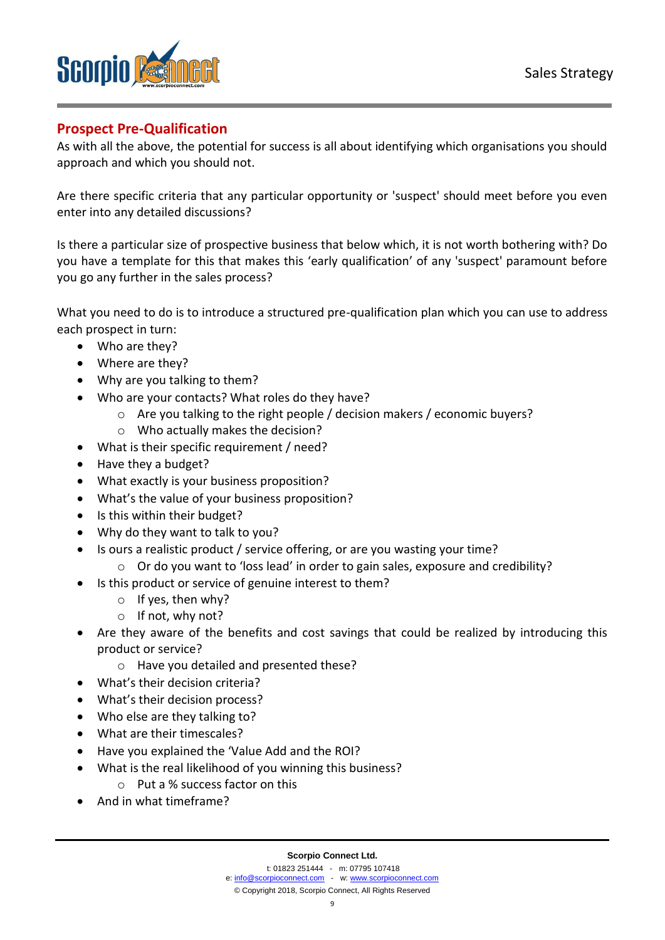

# **Prospect Pre-Qualification**

As with all the above, the potential for success is all about identifying which organisations you should approach and which you should not.

Are there specific criteria that any particular opportunity or 'suspect' should meet before you even enter into any detailed discussions?

Is there a particular size of prospective business that below which, it is not worth bothering with? Do you have a template for this that makes this 'early qualification' of any 'suspect' paramount before you go any further in the sales process?

What you need to do is to introduce a structured pre-qualification plan which you can use to address each prospect in turn:

- Who are they?
- Where are they?
- Why are you talking to them?
- Who are your contacts? What roles do they have?
	- o Are you talking to the right people / decision makers / economic buyers?
	- o Who actually makes the decision?
- What is their specific requirement / need?
- Have they a budget?
- What exactly is your business proposition?
- What's the value of your business proposition?
- Is this within their budget?
- Why do they want to talk to you?
- Is ours a realistic product / service offering, or are you wasting your time?
	- $\circ$  Or do you want to 'loss lead' in order to gain sales, exposure and credibility?
	- Is this product or service of genuine interest to them?
		- o If yes, then why?
		- o If not, why not?
- Are they aware of the benefits and cost savings that could be realized by introducing this product or service?
	- o Have you detailed and presented these?
- What's their decision criteria?
- What's their decision process?
- Who else are they talking to?
- What are their timescales?
- Have you explained the 'Value Add and the ROI?
- What is the real likelihood of you winning this business?
	- o Put a % success factor on this
- And in what timeframe?

9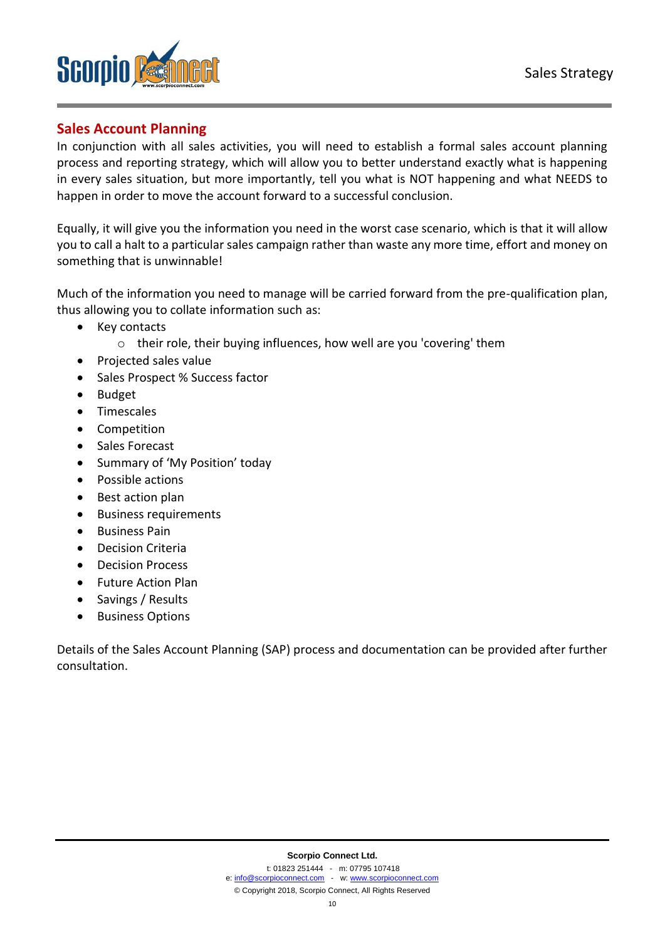

# **Sales Account Planning**

In conjunction with all sales activities, you will need to establish a formal sales account planning process and reporting strategy, which will allow you to better understand exactly what is happening in every sales situation, but more importantly, tell you what is NOT happening and what NEEDS to happen in order to move the account forward to a successful conclusion.

Equally, it will give you the information you need in the worst case scenario, which is that it will allow you to call a halt to a particular sales campaign rather than waste any more time, effort and money on something that is unwinnable!

Much of the information you need to manage will be carried forward from the pre-qualification plan, thus allowing you to collate information such as:

- Key contacts
	- o their role, their buying influences, how well are you 'covering' them
- Projected sales value
- Sales Prospect % Success factor
- Budget
- Timescales
- Competition
- Sales Forecast
- Summary of 'My Position' today
- Possible actions
- Best action plan
- Business requirements
- Business Pain
- Decision Criteria
- Decision Process
- Future Action Plan
- Savings / Results
- Business Options

Details of the Sales Account Planning (SAP) process and documentation can be provided after further consultation.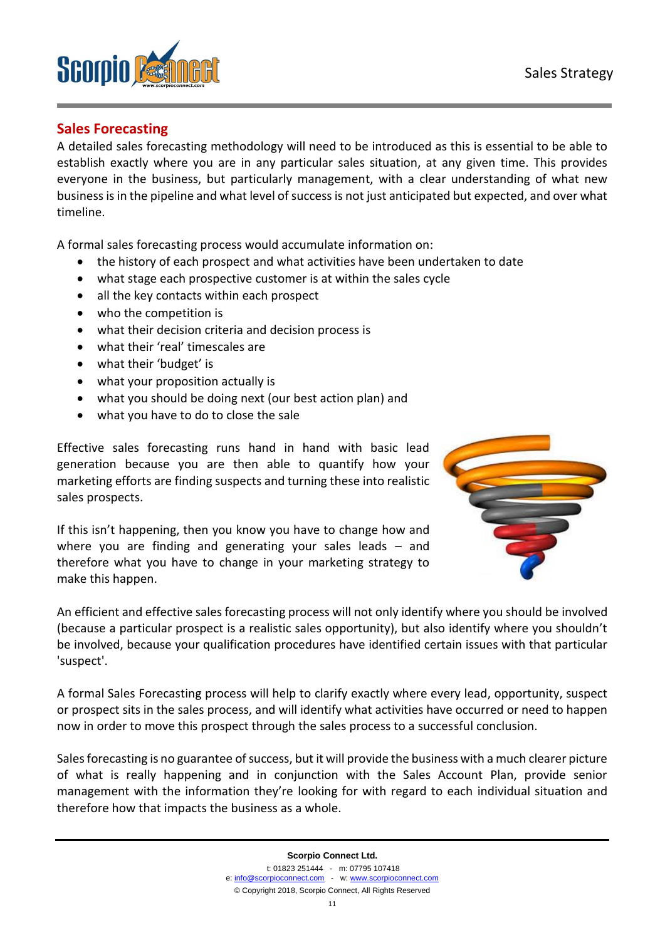

# **Sales Forecasting**

A detailed sales forecasting methodology will need to be introduced as this is essential to be able to establish exactly where you are in any particular sales situation, at any given time. This provides everyone in the business, but particularly management, with a clear understanding of what new business is in the pipeline and what level of success is not just anticipated but expected, and over what timeline.

A formal sales forecasting process would accumulate information on:

- the history of each prospect and what activities have been undertaken to date
- what stage each prospective customer is at within the sales cycle
- all the key contacts within each prospect
- who the competition is
- what their decision criteria and decision process is
- what their 'real' timescales are
- what their 'budget' is
- what your proposition actually is
- what you should be doing next (our best action plan) and
- what you have to do to close the sale

Effective sales forecasting runs hand in hand with basic lead generation because you are then able to quantify how your marketing efforts are finding suspects and turning these into realistic sales prospects.

If this isn't happening, then you know you have to change how and where you are finding and generating your sales leads – and therefore what you have to change in your marketing strategy to make this happen.



An efficient and effective sales forecasting process will not only identify where you should be involved (because a particular prospect is a realistic sales opportunity), but also identify where you shouldn't be involved, because your qualification procedures have identified certain issues with that particular 'suspect'.

A formal Sales Forecasting process will help to clarify exactly where every lead, opportunity, suspect or prospect sits in the sales process, and will identify what activities have occurred or need to happen now in order to move this prospect through the sales process to a successful conclusion.

Sales forecasting is no guarantee of success, but it will provide the business with a much clearer picture of what is really happening and in conjunction with the Sales Account Plan, provide senior management with the information they're looking for with regard to each individual situation and therefore how that impacts the business as a whole.